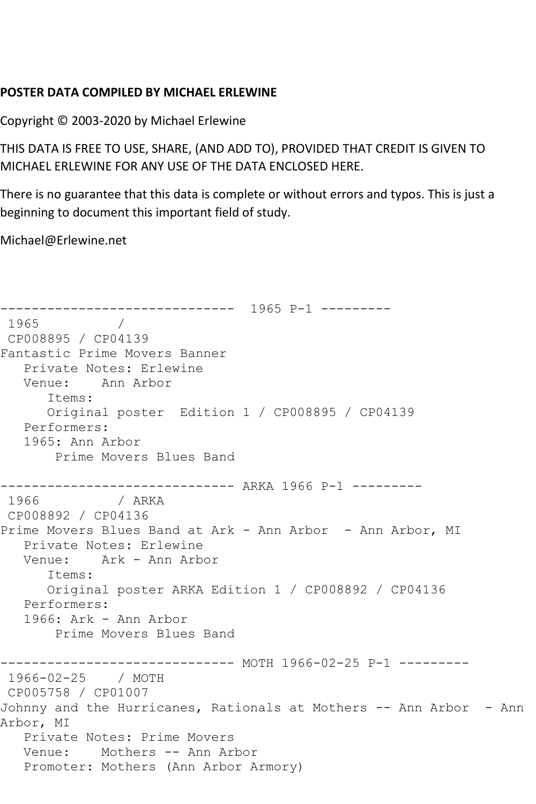## **POSTER DATA COMPILED BY MICHAEL ERLEWINE**

Copyright © 2003-2020 by Michael Erlewine

THIS DATA IS FREE TO USE, SHARE, (AND ADD TO), PROVIDED THAT CREDIT IS GIVEN TO MICHAEL ERLEWINE FOR ANY USE OF THE DATA ENCLOSED HERE.

There is no guarantee that this data is complete or without errors and typos. This is just a beginning to document this important field of study.

Michael@Erlewine.net

------------------------------ 1965 P-1 --------- 1965 / CP008895 / CP04139 Fantastic Prime Movers Banner Private Notes: Erlewine Venue: Ann Arbor Items: Original poster Edition 1 / CP008895 / CP04139 Performers: 1965: Ann Arbor Prime Movers Blues Band ------------------------------ ARKA 1966 P-1 --------- 1966 / ARKA CP008892 / CP04136 Prime Movers Blues Band at Ark - Ann Arbor - Ann Arbor, MI Private Notes: Erlewine Venue: Ark - Ann Arbor Items: Original poster ARKA Edition 1 / CP008892 / CP04136 Performers: 1966: Ark - Ann Arbor Prime Movers Blues Band ------------------------------ MOTH 1966-02-25 P-1 --------- 1966-02-25 / MOTH CP005758 / CP01007 Johnny and the Hurricanes, Rationals at Mothers -- Ann Arbor - Ann Arbor, MI Private Notes: Prime Movers Venue: Mothers -- Ann Arbor Promoter: Mothers (Ann Arbor Armory)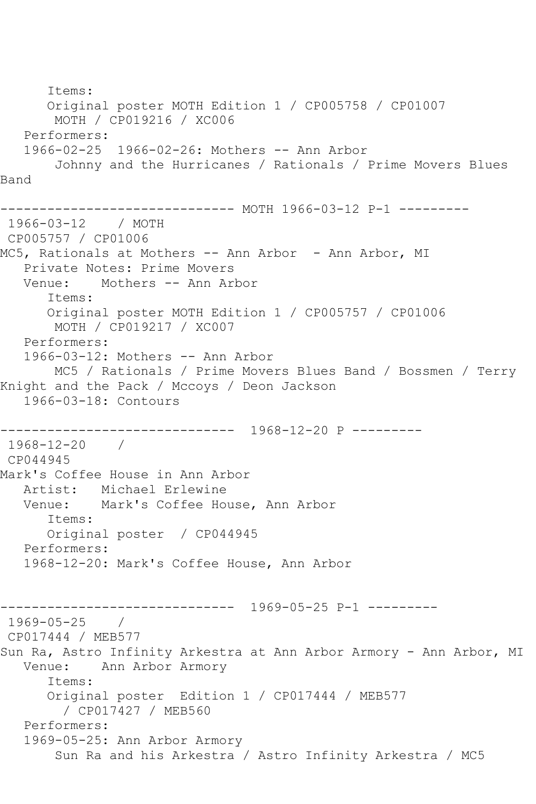Items: Original poster MOTH Edition 1 / CP005758 / CP01007 MOTH / CP019216 / XC006 Performers: 1966-02-25 1966-02-26: Mothers -- Ann Arbor Johnny and the Hurricanes / Rationals / Prime Movers Blues Band ------------------------------ MOTH 1966-03-12 P-1 --------- 1966-03-12 / MOTH CP005757 / CP01006 MC5, Rationals at Mothers -- Ann Arbor - Ann Arbor, MI Private Notes: Prime Movers Venue: Mothers -- Ann Arbor Items: Original poster MOTH Edition 1 / CP005757 / CP01006 MOTH / CP019217 / XC007 Performers: 1966-03-12: Mothers -- Ann Arbor MC5 / Rationals / Prime Movers Blues Band / Bossmen / Terry Knight and the Pack / Mccoys / Deon Jackson 1966-03-18: Contours ------------------------------ 1968-12-20 P --------- 1968-12-20 / CP044945 Mark's Coffee House in Ann Arbor Artist: Michael Erlewine Venue: Mark's Coffee House, Ann Arbor Items: Original poster / CP044945 Performers: 1968-12-20: Mark's Coffee House, Ann Arbor ------------------------------ 1969-05-25 P-1 --------- 1969-05-25 / CP017444 / MEB577 Sun Ra, Astro Infinity Arkestra at Ann Arbor Armory - Ann Arbor, MI Venue: Ann Arbor Armory Items: Original poster Edition 1 / CP017444 / MEB577 / CP017427 / MEB560 Performers: 1969-05-25: Ann Arbor Armory Sun Ra and his Arkestra / Astro Infinity Arkestra / MC5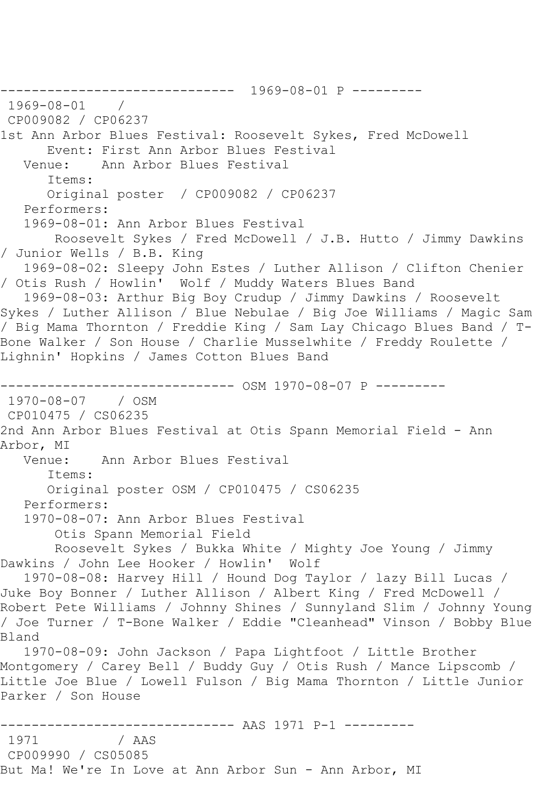------------------------------ 1969-08-01 P --------- 1969-08-01 / CP009082 / CP06237 1st Ann Arbor Blues Festival: Roosevelt Sykes, Fred McDowell Event: First Ann Arbor Blues Festival<br>Venue: Ann Arbor Blues Festival Ann Arbor Blues Festival Items: Original poster / CP009082 / CP06237 Performers: 1969-08-01: Ann Arbor Blues Festival Roosevelt Sykes / Fred McDowell / J.B. Hutto / Jimmy Dawkins / Junior Wells / B.B. King 1969-08-02: Sleepy John Estes / Luther Allison / Clifton Chenier / Otis Rush / Howlin' Wolf / Muddy Waters Blues Band 1969-08-03: Arthur Big Boy Crudup / Jimmy Dawkins / Roosevelt Sykes / Luther Allison / Blue Nebulae / Big Joe Williams / Magic Sam / Big Mama Thornton / Freddie King / Sam Lay Chicago Blues Band / T-Bone Walker / Son House / Charlie Musselwhite / Freddy Roulette / Lighnin' Hopkins / James Cotton Blues Band ------------------------------ OSM 1970-08-07 P --------- 1970-08-07 / OSM CP010475 / CS06235 2nd Ann Arbor Blues Festival at Otis Spann Memorial Field - Ann Arbor, MI<br>:Venue Ann Arbor Blues Festival Items: Original poster OSM / CP010475 / CS06235 Performers: 1970-08-07: Ann Arbor Blues Festival Otis Spann Memorial Field Roosevelt Sykes / Bukka White / Mighty Joe Young / Jimmy Dawkins / John Lee Hooker / Howlin' Wolf 1970-08-08: Harvey Hill / Hound Dog Taylor / lazy Bill Lucas / Juke Boy Bonner / Luther Allison / Albert King / Fred McDowell / Robert Pete Williams / Johnny Shines / Sunnyland Slim / Johnny Young / Joe Turner / T-Bone Walker / Eddie "Cleanhead" Vinson / Bobby Blue Bland 1970-08-09: John Jackson / Papa Lightfoot / Little Brother Montgomery / Carey Bell / Buddy Guy / Otis Rush / Mance Lipscomb / Little Joe Blue / Lowell Fulson / Big Mama Thornton / Little Junior Parker / Son House ------------------------------ AAS 1971 P-1 --------- / AAS CP009990 / CS05085 But Ma! We're In Love at Ann Arbor Sun - Ann Arbor, MI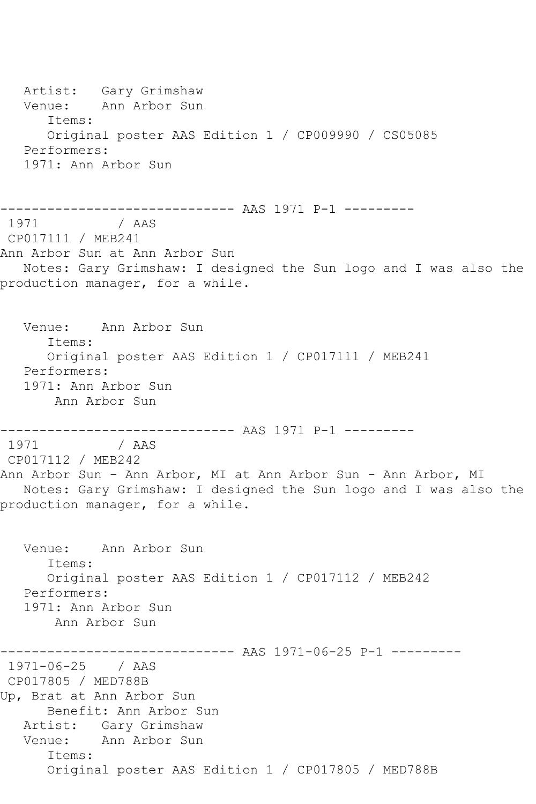Artist: Gary Grimshaw Venue: Ann Arbor Sun Items: Original poster AAS Edition 1 / CP009990 / CS05085 Performers: 1971: Ann Arbor Sun ------------------------------ AAS 1971 P-1 --------- / AAS CP017111 / MEB241 Ann Arbor Sun at Ann Arbor Sun Notes: Gary Grimshaw: I designed the Sun logo and I was also the production manager, for a while. Venue: Ann Arbor Sun Items: Original poster AAS Edition 1 / CP017111 / MEB241 Performers: 1971: Ann Arbor Sun Ann Arbor Sun ------------------------------ AAS 1971 P-1 --------- / AAS CP017112 / MEB242 Ann Arbor Sun - Ann Arbor, MI at Ann Arbor Sun - Ann Arbor, MI Notes: Gary Grimshaw: I designed the Sun logo and I was also the production manager, for a while. Venue: Ann Arbor Sun Items: Original poster AAS Edition 1 / CP017112 / MEB242 Performers: 1971: Ann Arbor Sun Ann Arbor Sun ------------------------------ AAS 1971-06-25 P-1 --------- 1971-06-25 / AAS CP017805 / MED788B Up, Brat at Ann Arbor Sun Benefit: Ann Arbor Sun Artist: Gary Grimshaw Venue: Ann Arbor Sun Items: Original poster AAS Edition 1 / CP017805 / MED788B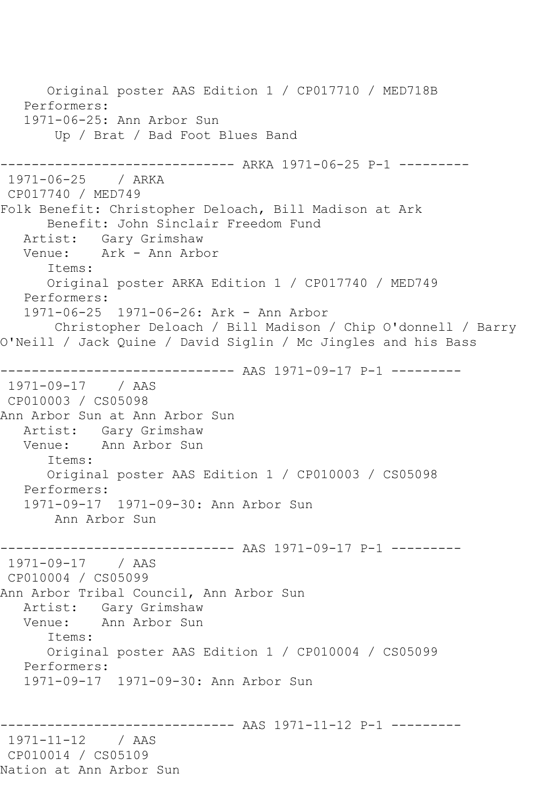Original poster AAS Edition 1 / CP017710 / MED718B Performers: 1971-06-25: Ann Arbor Sun Up / Brat / Bad Foot Blues Band ------------ ARKA 1971-06-25 P-1 ---------1971-06-25 / ARKA CP017740 / MED749 Folk Benefit: Christopher Deloach, Bill Madison at Ark Benefit: John Sinclair Freedom Fund Artist: Gary Grimshaw<br>Venue: Ark - Ann Arb Ark - Ann Arbor Items: Original poster ARKA Edition 1 / CP017740 / MED749 Performers: 1971-06-25 1971-06-26: Ark - Ann Arbor Christopher Deloach / Bill Madison / Chip O'donnell / Barry O'Neill / Jack Quine / David Siglin / Mc Jingles and his Bass ------------------------------ AAS 1971-09-17 P-1 --------- 1971-09-17 / AAS CP010003 / CS05098 Ann Arbor Sun at Ann Arbor Sun Artist: Gary Grimshaw Venue: Ann Arbor Sun Items: Original poster AAS Edition 1 / CP010003 / CS05098 Performers: 1971-09-17 1971-09-30: Ann Arbor Sun Ann Arbor Sun ------------------------------ AAS 1971-09-17 P-1 --------- 1971-09-17 / AAS CP010004 / CS05099 Ann Arbor Tribal Council, Ann Arbor Sun Artist: Gary Grimshaw<br>Venue: Ann Arbor Sun Ann Arbor Sun Items: Original poster AAS Edition 1 / CP010004 / CS05099 Performers: 1971-09-17 1971-09-30: Ann Arbor Sun ------------------------------ AAS 1971-11-12 P-1 --------- 1971-11-12 / AAS CP010014 / CS05109 Nation at Ann Arbor Sun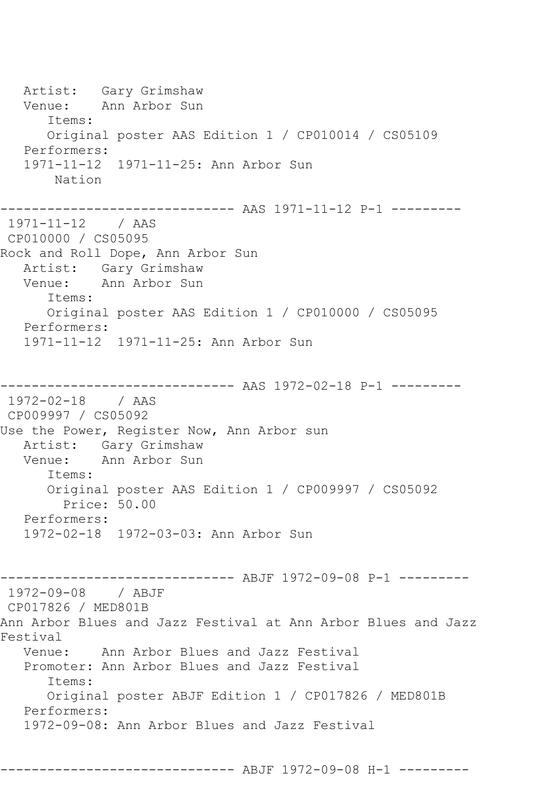Artist: Gary Grimshaw<br>Venue: Ann Arbor Sun Ann Arbor Sun Items: Original poster AAS Edition 1 / CP010014 / CS05109 Performers: 1971-11-12 1971-11-25: Ann Arbor Sun Nation ------------------------------ AAS 1971-11-12 P-1 --------- 1971-11-12 / AAS CP010000 / CS05095 Rock and Roll Dope, Ann Arbor Sun Artist: Gary Grimshaw<br>Venue: Ann Arbor Sun Ann Arbor Sun Items: Original poster AAS Edition 1 / CP010000 / CS05095 Performers: 1971-11-12 1971-11-25: Ann Arbor Sun ------------------------------ AAS 1972-02-18 P-1 --------- 1972-02-18 / AAS CP009997 / CS05092 Use the Power, Register Now, Ann Arbor sun Artist: Gary Grimshaw<br>Venue: Ann Arbor Sun Ann Arbor Sun Items: Original poster AAS Edition 1 / CP009997 / CS05092 Price: 50.00 Performers: 1972-02-18 1972-03-03: Ann Arbor Sun ------------------------------ ABJF 1972-09-08 P-1 --------- 1972-09-08 / ABJF CP017826 / MED801B Ann Arbor Blues and Jazz Festival at Ann Arbor Blues and Jazz Festival Venue: Ann Arbor Blues and Jazz Festival Promoter: Ann Arbor Blues and Jazz Festival Items: Original poster ABJF Edition 1 / CP017826 / MED801B Performers: 1972-09-08: Ann Arbor Blues and Jazz Festival

------------------------------ ABJF 1972-09-08 H-1 ---------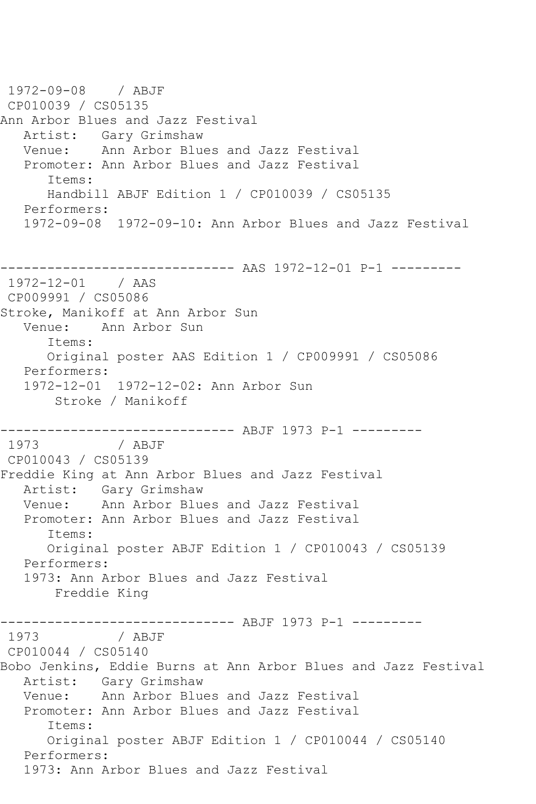1972-09-08 / ABJF CP010039 / CS05135 Ann Arbor Blues and Jazz Festival Artist: Gary Grimshaw<br>Venue: Ann Arbor Blue Ann Arbor Blues and Jazz Festival Promoter: Ann Arbor Blues and Jazz Festival Items: Handbill ABJF Edition 1 / CP010039 / CS05135 Performers: 1972-09-08 1972-09-10: Ann Arbor Blues and Jazz Festival ------------------------------ AAS 1972-12-01 P-1 --------- 1972-12-01 / AAS CP009991 / CS05086 Stroke, Manikoff at Ann Arbor Sun Venue: Ann Arbor Sun Items: Original poster AAS Edition 1 / CP009991 / CS05086 Performers: 1972-12-01 1972-12-02: Ann Arbor Sun Stroke / Manikoff ------------------------------ ABJF 1973 P-1 --------- 1973 / ABJF CP010043 / CS05139 Freddie King at Ann Arbor Blues and Jazz Festival Artist: Gary Grimshaw<br>Venue: Ann Arbor Blue Ann Arbor Blues and Jazz Festival Promoter: Ann Arbor Blues and Jazz Festival Items: Original poster ABJF Edition 1 / CP010043 / CS05139 Performers: 1973: Ann Arbor Blues and Jazz Festival Freddie King -------------------------------- ABJF 1973 P-1 ----------<br>1973 / ABJF / ABJF CP010044 / CS05140 Bobo Jenkins, Eddie Burns at Ann Arbor Blues and Jazz Festival Artist: Gary Grimshaw Venue: Ann Arbor Blues and Jazz Festival Promoter: Ann Arbor Blues and Jazz Festival Items: Original poster ABJF Edition 1 / CP010044 / CS05140 Performers: 1973: Ann Arbor Blues and Jazz Festival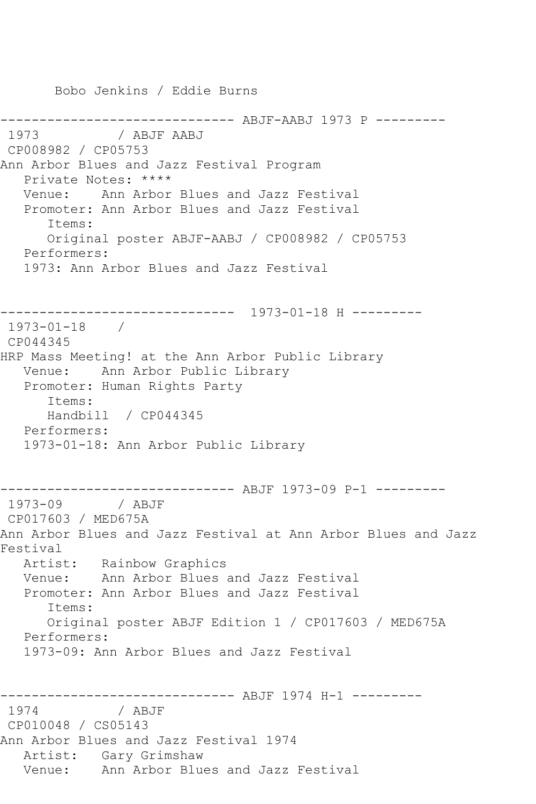------------------------------ ABJF-AABJ 1973 P --------- / ABJF AABJ CP008982 / CP05753 Ann Arbor Blues and Jazz Festival Program Private Notes: \*\*\*\* Venue: Ann Arbor Blues and Jazz Festival Promoter: Ann Arbor Blues and Jazz Festival Items: Original poster ABJF-AABJ / CP008982 / CP05753 Performers: 1973: Ann Arbor Blues and Jazz Festival ------------------------------ 1973-01-18 H --------- 1973-01-18 / CP044345 HRP Mass Meeting! at the Ann Arbor Public Library Venue: Ann Arbor Public Library Promoter: Human Rights Party Items: Handbill / CP044345 Performers: 1973-01-18: Ann Arbor Public Library ------------------------------ ABJF 1973-09 P-1 --------- 1973-09 / ABJF CP017603 / MED675A Ann Arbor Blues and Jazz Festival at Ann Arbor Blues and Jazz Festival Artist: Rainbow Graphics Venue: Ann Arbor Blues and Jazz Festival Promoter: Ann Arbor Blues and Jazz Festival Items: Original poster ABJF Edition 1 / CP017603 / MED675A Performers: 1973-09: Ann Arbor Blues and Jazz Festival ------------------------------ ABJF 1974 H-1 --------- 1974 / ABJF CP010048 / CS05143 Ann Arbor Blues and Jazz Festival 1974 Artist: Gary Grimshaw Venue: Ann Arbor Blues and Jazz Festival

Bobo Jenkins / Eddie Burns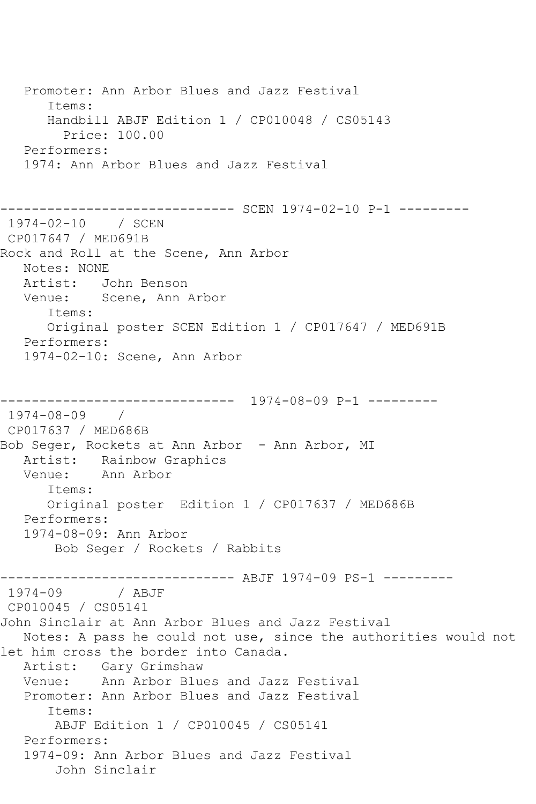Promoter: Ann Arbor Blues and Jazz Festival Items: Handbill ABJF Edition 1 / CP010048 / CS05143 Price: 100.00 Performers: 1974: Ann Arbor Blues and Jazz Festival ------------------------------ SCEN 1974-02-10 P-1 --------- 1974-02-10 / SCEN CP017647 / MED691B Rock and Roll at the Scene, Ann Arbor Notes: NONE Artist: John Benson Venue: Scene, Ann Arbor Items: Original poster SCEN Edition 1 / CP017647 / MED691B Performers: 1974-02-10: Scene, Ann Arbor ------------------------------ 1974-08-09 P-1 --------- 1974-08-09 / CP017637 / MED686B Bob Seger, Rockets at Ann Arbor - Ann Arbor, MI Artist: Rainbow Graphics Venue: Ann Arbor Items: Original poster Edition 1 / CP017637 / MED686B Performers: 1974-08-09: Ann Arbor Bob Seger / Rockets / Rabbits ------------------------------ ABJF 1974-09 PS-1 --------- 1974-09 / ABJF CP010045 / CS05141 John Sinclair at Ann Arbor Blues and Jazz Festival Notes: A pass he could not use, since the authorities would not let him cross the border into Canada. Artist: Gary Grimshaw Venue: Ann Arbor Blues and Jazz Festival Promoter: Ann Arbor Blues and Jazz Festival Items: ABJF Edition 1 / CP010045 / CS05141 Performers: 1974-09: Ann Arbor Blues and Jazz Festival John Sinclair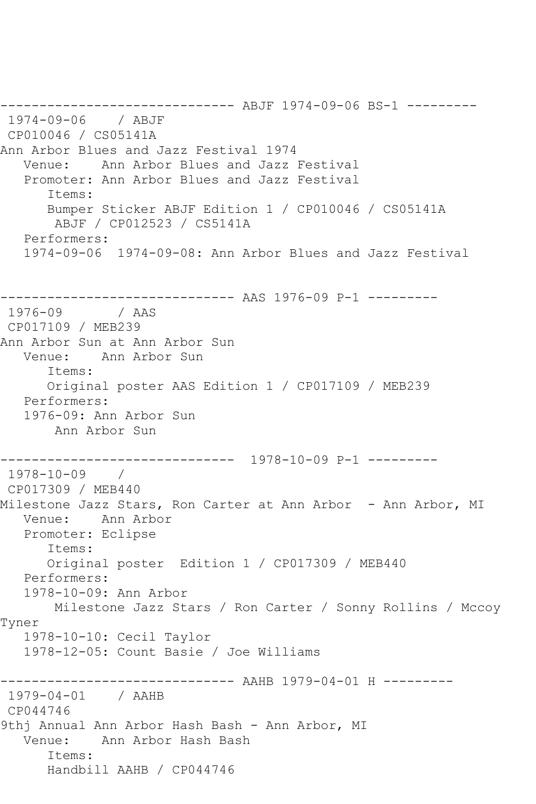------------------------------ ABJF 1974-09-06 BS-1 --------- 1974-09-06 / ABJF CP010046 / CS05141A Ann Arbor Blues and Jazz Festival 1974 Venue: Ann Arbor Blues and Jazz Festival Promoter: Ann Arbor Blues and Jazz Festival Items: Bumper Sticker ABJF Edition 1 / CP010046 / CS05141A ABJF / CP012523 / CS5141A Performers: 1974-09-06 1974-09-08: Ann Arbor Blues and Jazz Festival ------------------------------- AAS 1976-09 P-1 ---------<br>1976-09 / AAS / AAS CP017109 / MEB239 Ann Arbor Sun at Ann Arbor Sun Venue: Ann Arbor Sun Items: Original poster AAS Edition 1 / CP017109 / MEB239 Performers: 1976-09: Ann Arbor Sun Ann Arbor Sun ------------------------------ 1978-10-09 P-1 --------- 1978-10-09 / CP017309 / MEB440 Milestone Jazz Stars, Ron Carter at Ann Arbor - Ann Arbor, MI Venue: Ann Arbor Promoter: Eclipse Items: Original poster Edition 1 / CP017309 / MEB440 Performers: 1978-10-09: Ann Arbor Milestone Jazz Stars / Ron Carter / Sonny Rollins / Mccoy Tyner 1978-10-10: Cecil Taylor 1978-12-05: Count Basie / Joe Williams ------------------------------ AAHB 1979-04-01 H --------- 1979-04-01 / AAHB CP044746 9thj Annual Ann Arbor Hash Bash - Ann Arbor, MI Venue: Ann Arbor Hash Bash Items: Handbill AAHB / CP044746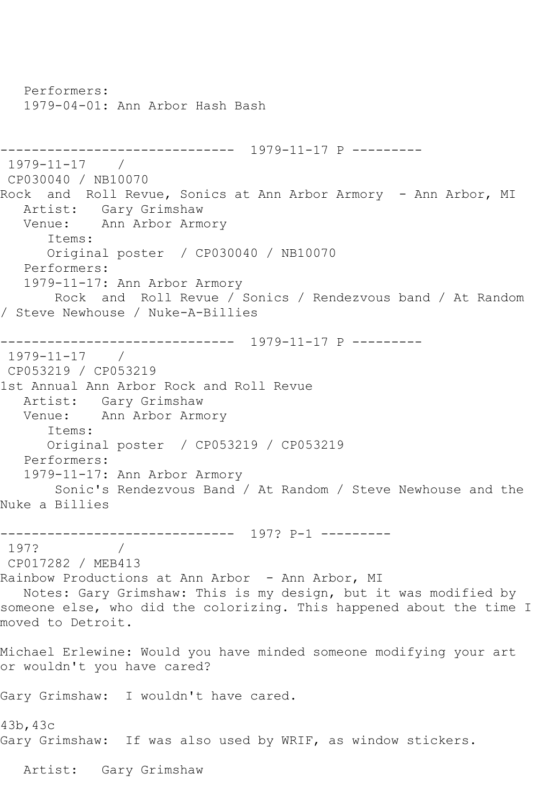Performers: 1979-04-01: Ann Arbor Hash Bash ------------------------------ 1979-11-17 P --------- 1979-11-17 / CP030040 / NB10070 Rock and Roll Revue, Sonics at Ann Arbor Armory - Ann Arbor, MI Artist: Gary Grimshaw Venue: Ann Arbor Armory Items: Original poster / CP030040 / NB10070 Performers: 1979-11-17: Ann Arbor Armory Rock and Roll Revue / Sonics / Rendezvous band / At Random / Steve Newhouse / Nuke-A-Billies ------------------------------ 1979-11-17 P --------- 1979-11-17 / CP053219 / CP053219 1st Annual Ann Arbor Rock and Roll Revue Artist: Gary Grimshaw Venue: Ann Arbor Armory Items: Original poster / CP053219 / CP053219 Performers: 1979-11-17: Ann Arbor Armory Sonic's Rendezvous Band / At Random / Steve Newhouse and the Nuke a Billies ------------------------------ 197? P-1 --------- 197? / CP017282 / MEB413 Rainbow Productions at Ann Arbor - Ann Arbor, MI Notes: Gary Grimshaw: This is my design, but it was modified by someone else, who did the colorizing. This happened about the time I moved to Detroit. Michael Erlewine: Would you have minded someone modifying your art or wouldn't you have cared? Gary Grimshaw: I wouldn't have cared. 43b,43c Gary Grimshaw: If was also used by WRIF, as window stickers. Artist: Gary Grimshaw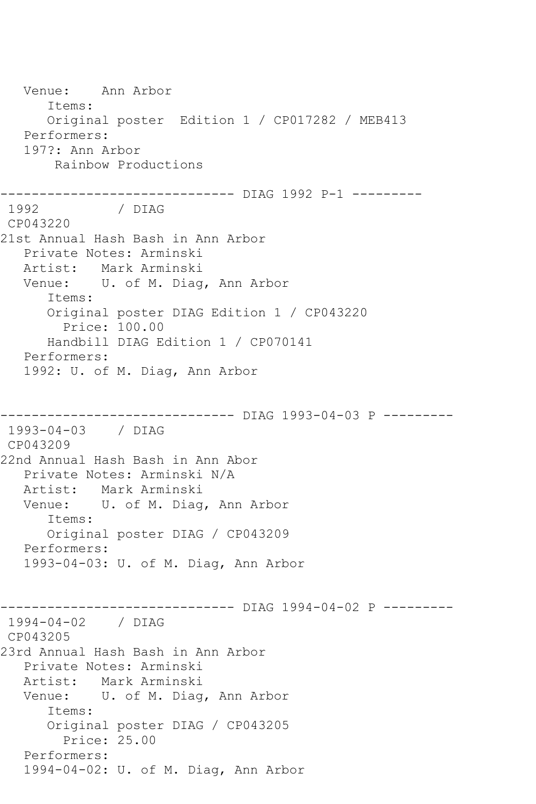Venue: Ann Arbor Items: Original poster Edition 1 / CP017282 / MEB413 Performers: 197?: Ann Arbor Rainbow Productions ------------------------------ DIAG 1992 P-1 --------- 1992 / DIAG CP043220 21st Annual Hash Bash in Ann Arbor Private Notes: Arminski Artist: Mark Arminski Venue: U. of M. Diag, Ann Arbor Items: Original poster DIAG Edition 1 / CP043220 Price: 100.00 Handbill DIAG Edition 1 / CP070141 Performers: 1992: U. of M. Diag, Ann Arbor ------------------------------ DIAG 1993-04-03 P --------- 1993-04-03 / DIAG CP043209 22nd Annual Hash Bash in Ann Abor Private Notes: Arminski N/A Artist: Mark Arminski Venue: U. of M. Diag, Ann Arbor Items: Original poster DIAG / CP043209 Performers: 1993-04-03: U. of M. Diag, Ann Arbor ------------------------------ DIAG 1994-04-02 P --------- 1994-04-02 / DIAG CP043205 23rd Annual Hash Bash in Ann Arbor Private Notes: Arminski Artist: Mark Arminski Venue: U. of M. Diag, Ann Arbor Items: Original poster DIAG / CP043205 Price: 25.00 Performers: 1994-04-02: U. of M. Diag, Ann Arbor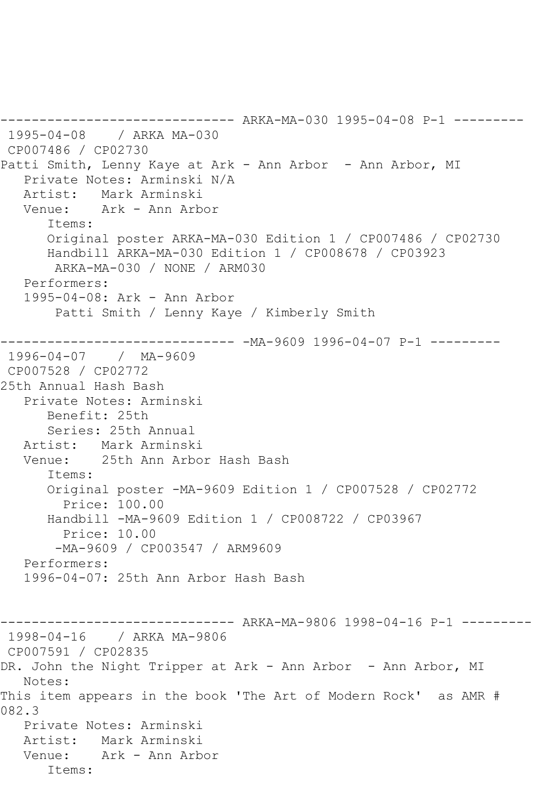------------------------------ ARKA-MA-030 1995-04-08 P-1 --------- 1995-04-08 / ARKA MA-030 CP007486 / CP02730 Patti Smith, Lenny Kaye at Ark - Ann Arbor - Ann Arbor, MI Private Notes: Arminski N/A Artist: Mark Arminski Venue: Ark - Ann Arbor Items: Original poster ARKA-MA-030 Edition 1 / CP007486 / CP02730 Handbill ARKA-MA-030 Edition 1 / CP008678 / CP03923 ARKA-MA-030 / NONE / ARM030 Performers: 1995-04-08: Ark - Ann Arbor Patti Smith / Lenny Kaye / Kimberly Smith ------------------------------ -MA-9609 1996-04-07 P-1 --------- 1996-04-07 / MA-9609 CP007528 / CP02772 25th Annual Hash Bash Private Notes: Arminski Benefit: 25th Series: 25th Annual Artist: Mark Arminski<br>Venue: 25th Ann Arbo 25th Ann Arbor Hash Bash Items: Original poster -MA-9609 Edition 1 / CP007528 / CP02772 Price: 100.00 Handbill -MA-9609 Edition 1 / CP008722 / CP03967 Price: 10.00 -MA-9609 / CP003547 / ARM9609 Performers: 1996-04-07: 25th Ann Arbor Hash Bash ------------------------------ ARKA-MA-9806 1998-04-16 P-1 --------- 1998-04-16 / ARKA MA-9806 CP007591 / CP02835 DR. John the Night Tripper at Ark - Ann Arbor - Ann Arbor, MI Notes: This item appears in the book 'The Art of Modern Rock' as AMR # 082.3 Private Notes: Arminski Artist: Mark Arminski Venue: Ark - Ann Arbor Items: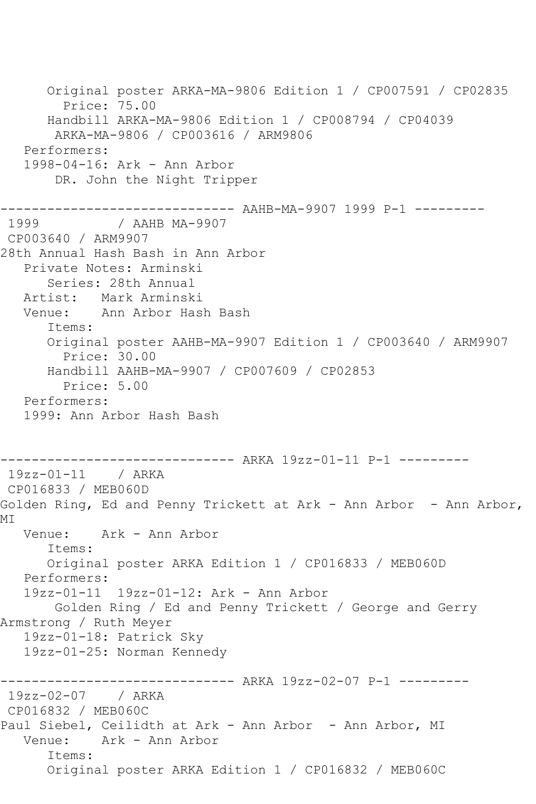Original poster ARKA-MA-9806 Edition 1 / CP007591 / CP02835 Price: 75.00 Handbill ARKA-MA-9806 Edition 1 / CP008794 / CP04039 ARKA-MA-9806 / CP003616 / ARM9806 Performers: 1998-04-16: Ark - Ann Arbor DR. John the Night Tripper ------------------------------ AAHB-MA-9907 1999 P-1 --------- / AAHB MA-9907 CP003640 / ARM9907 28th Annual Hash Bash in Ann Arbor Private Notes: Arminski Series: 28th Annual Artist: Mark Arminski Venue: Ann Arbor Hash Bash Items: Original poster AAHB-MA-9907 Edition 1 / CP003640 / ARM9907 Price: 30.00 Handbill AAHB-MA-9907 / CP007609 / CP02853 Price: 5.00 Performers: 1999: Ann Arbor Hash Bash ------------------------------ ARKA 19zz-01-11 P-1 --------- 19zz-01-11 / ARKA CP016833 / MEB060D Golden Ring, Ed and Penny Trickett at Ark - Ann Arbor - Ann Arbor, MI Venue: Ark - Ann Arbor Items: Original poster ARKA Edition 1 / CP016833 / MEB060D Performers: 19zz-01-11 19zz-01-12: Ark - Ann Arbor Golden Ring / Ed and Penny Trickett / George and Gerry Armstrong / Ruth Meyer 19zz-01-18: Patrick Sky 19zz-01-25: Norman Kennedy ------------------------------ ARKA 19zz-02-07 P-1 --------- 19zz-02-07 / ARKA CP016832 / MEB060C Paul Siebel, Ceilidth at Ark - Ann Arbor - Ann Arbor, MI Venue: Ark - Ann Arbor Items: Original poster ARKA Edition 1 / CP016832 / MEB060C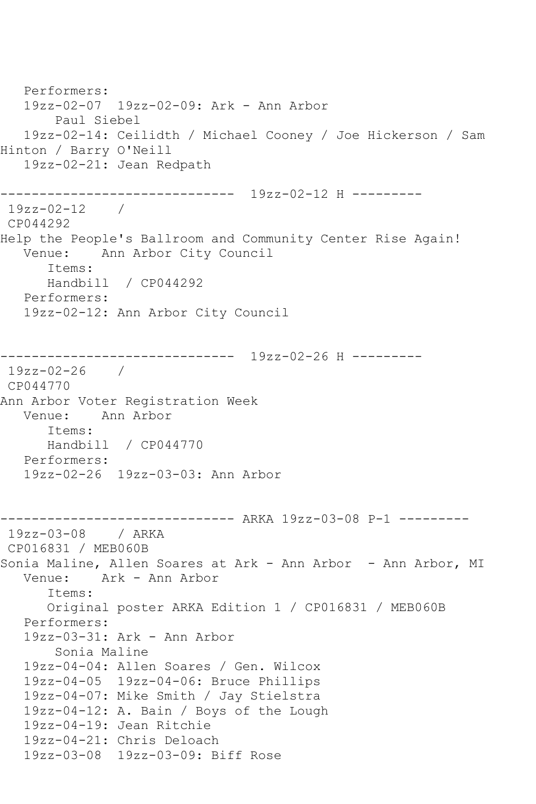Performers: 19zz-02-07 19zz-02-09: Ark - Ann Arbor Paul Siebel 19zz-02-14: Ceilidth / Michael Cooney / Joe Hickerson / Sam Hinton / Barry O'Neill 19zz-02-21: Jean Redpath ------------------------------ 19zz-02-12 H ---------  $19zz-02-12$  / CP044292 Help the People's Ballroom and Community Center Rise Again! Venue: Ann Arbor City Council Items: Handbill / CP044292 Performers: 19zz-02-12: Ann Arbor City Council ------------------------------ 19zz-02-26 H --------- 19zz-02-26 / CP044770 Ann Arbor Voter Registration Week Venue: Ann Arbor Items: Handbill / CP044770 Performers: 19zz-02-26 19zz-03-03: Ann Arbor ------------------------------ ARKA 19zz-03-08 P-1 --------- 19zz-03-08 / ARKA CP016831 / MEB060B Sonia Maline, Allen Soares at Ark - Ann Arbor - Ann Arbor, MI Venue: Ark - Ann Arbor Items: Original poster ARKA Edition 1 / CP016831 / MEB060B Performers: 19zz-03-31: Ark - Ann Arbor Sonia Maline 19zz-04-04: Allen Soares / Gen. Wilcox 19zz-04-05 19zz-04-06: Bruce Phillips 19zz-04-07: Mike Smith / Jay Stielstra 19zz-04-12: A. Bain / Boys of the Lough 19zz-04-19: Jean Ritchie 19zz-04-21: Chris Deloach 19zz-03-08 19zz-03-09: Biff Rose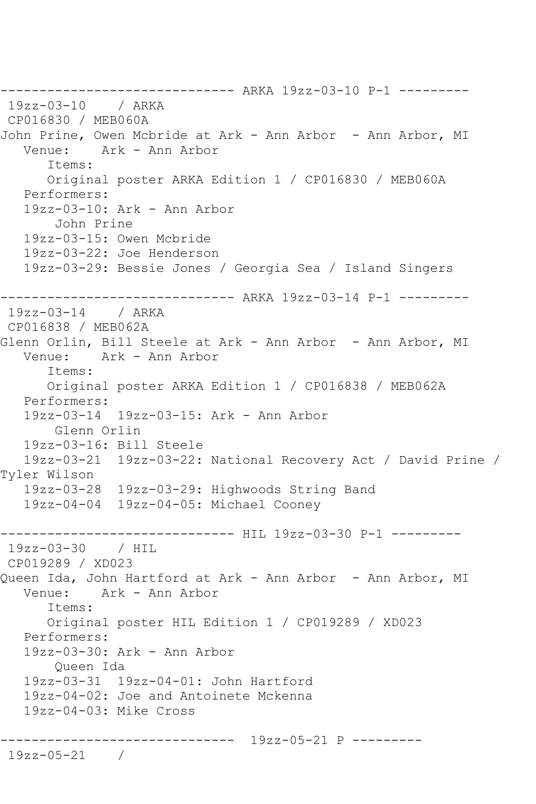------------------------------ ARKA 19zz-03-10 P-1 --------- 19zz-03-10 / ARKA CP016830 / MEB060A John Prine, Owen Mcbride at Ark - Ann Arbor - Ann Arbor, MI Ark - Ann Arbor Items: Original poster ARKA Edition 1 / CP016830 / MEB060A Performers: 19zz-03-10: Ark - Ann Arbor John Prine 19zz-03-15: Owen Mcbride 19zz-03-22: Joe Henderson 19zz-03-29: Bessie Jones / Georgia Sea / Island Singers ------------------------------ ARKA 19zz-03-14 P-1 --------- 19zz-03-14 / ARKA CP016838 / MEB062A Glenn Orlin, Bill Steele at Ark - Ann Arbor - Ann Arbor, MI Venue: Ark - Ann Arbor Items: Original poster ARKA Edition 1 / CP016838 / MEB062A Performers: 19zz-03-14 19zz-03-15: Ark - Ann Arbor Glenn Orlin 19zz-03-16: Bill Steele 19zz-03-21 19zz-03-22: National Recovery Act / David Prine / Tyler Wilson 19zz-03-28 19zz-03-29: Highwoods String Band 19zz-04-04 19zz-04-05: Michael Cooney ------------------------------ HIL 19zz-03-30 P-1 --------- 19zz-03-30 / HIL CP019289 / XD023 Queen Ida, John Hartford at Ark - Ann Arbor - Ann Arbor, MI Venue: Ark - Ann Arbor Items: Original poster HIL Edition 1 / CP019289 / XD023 Performers: 19zz-03-30: Ark - Ann Arbor Queen Ida 19zz-03-31 19zz-04-01: John Hartford 19zz-04-02: Joe and Antoinete Mckenna 19zz-04-03: Mike Cross ------------------------------ 19zz-05-21 P --------- 19zz-05-21 /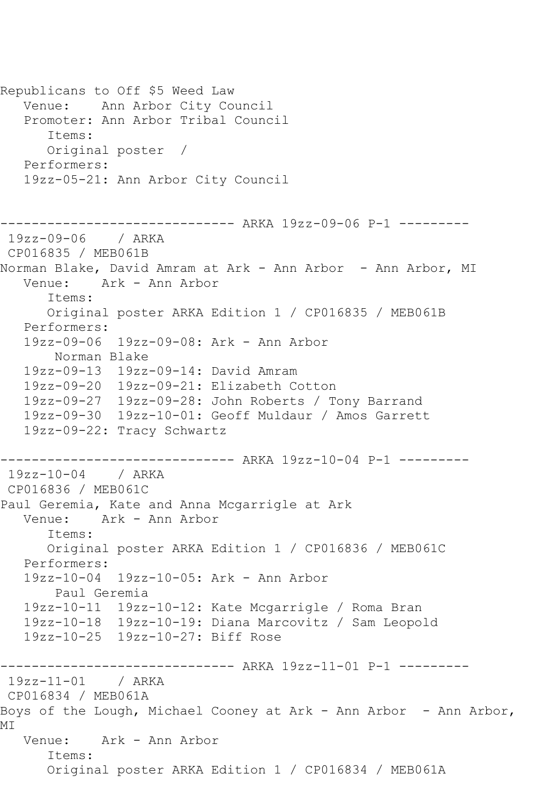Republicans to Off \$5 Weed Law Venue: Ann Arbor City Council Promoter: Ann Arbor Tribal Council Items: Original poster / Performers: 19zz-05-21: Ann Arbor City Council ------------------------------ ARKA 19zz-09-06 P-1 --------- 19zz-09-06 / ARKA CP016835 / MEB061B Norman Blake, David Amram at Ark - Ann Arbor - Ann Arbor, MI Venue: Ark - Ann Arbor Items: Original poster ARKA Edition 1 / CP016835 / MEB061B Performers: 19zz-09-06 19zz-09-08: Ark - Ann Arbor Norman Blake 19zz-09-13 19zz-09-14: David Amram 19zz-09-20 19zz-09-21: Elizabeth Cotton 19zz-09-27 19zz-09-28: John Roberts / Tony Barrand 19zz-09-30 19zz-10-01: Geoff Muldaur / Amos Garrett 19zz-09-22: Tracy Schwartz ------------------------------ ARKA 19zz-10-04 P-1 --------- 19zz-10-04 / ARKA CP016836 / MEB061C Paul Geremia, Kate and Anna Mcgarrigle at Ark Venue: Ark - Ann Arbor Items: Original poster ARKA Edition 1 / CP016836 / MEB061C Performers: 19zz-10-04 19zz-10-05: Ark - Ann Arbor Paul Geremia 19zz-10-11 19zz-10-12: Kate Mcgarrigle / Roma Bran 19zz-10-18 19zz-10-19: Diana Marcovitz / Sam Leopold 19zz-10-25 19zz-10-27: Biff Rose ------------------------------ ARKA 19zz-11-01 P-1 --------- 19zz-11-01 / ARKA CP016834 / MEB061A Boys of the Lough, Michael Cooney at Ark - Ann Arbor - Ann Arbor, MI Venue: Ark - Ann Arbor Items: Original poster ARKA Edition 1 / CP016834 / MEB061A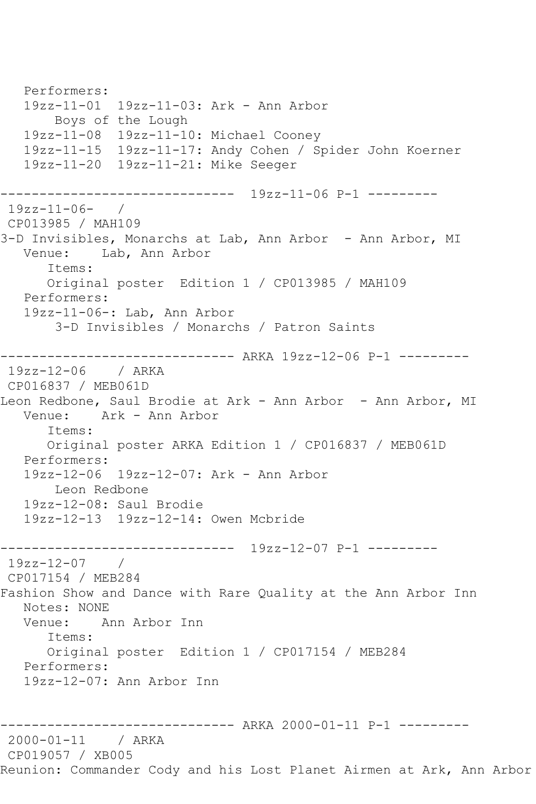Performers: 19zz-11-01 19zz-11-03: Ark - Ann Arbor Boys of the Lough 19zz-11-08 19zz-11-10: Michael Cooney 19zz-11-15 19zz-11-17: Andy Cohen / Spider John Koerner 19zz-11-20 19zz-11-21: Mike Seeger ------------------------------ 19zz-11-06 P-1 --------- 19zz-11-06- / CP013985 / MAH109 3-D Invisibles, Monarchs at Lab, Ann Arbor - Ann Arbor, MI Venue: Lab, Ann Arbor Items: Original poster Edition 1 / CP013985 / MAH109 Performers: 19zz-11-06-: Lab, Ann Arbor 3-D Invisibles / Monarchs / Patron Saints ------------------------------ ARKA 19zz-12-06 P-1 --------- 19zz-12-06 / ARKA CP016837 / MEB061D Leon Redbone, Saul Brodie at Ark - Ann Arbor - Ann Arbor, MI Venue: Ark - Ann Arbor Items: Original poster ARKA Edition 1 / CP016837 / MEB061D Performers: 19zz-12-06 19zz-12-07: Ark - Ann Arbor Leon Redbone 19zz-12-08: Saul Brodie 19zz-12-13 19zz-12-14: Owen Mcbride ------------------------------ 19zz-12-07 P-1 --------- 19zz-12-07 / CP017154 / MEB284 Fashion Show and Dance with Rare Quality at the Ann Arbor Inn Notes: NONE Venue: Ann Arbor Inn Items: Original poster Edition 1 / CP017154 / MEB284 Performers: 19zz-12-07: Ann Arbor Inn ------------------------------ ARKA 2000-01-11 P-1 --------- 2000-01-11 / ARKA CP019057 / XB005 Reunion: Commander Cody and his Lost Planet Airmen at Ark, Ann Arbor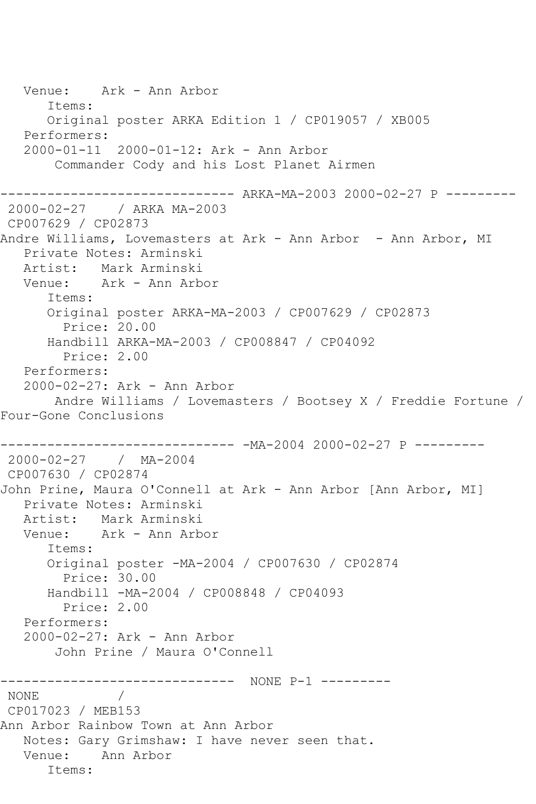Venue: Ark - Ann Arbor Items: Original poster ARKA Edition 1 / CP019057 / XB005 Performers: 2000-01-11 2000-01-12: Ark - Ann Arbor Commander Cody and his Lost Planet Airmen ------------------------------ ARKA-MA-2003 2000-02-27 P --------- 2000-02-27 / ARKA MA-2003 CP007629 / CP02873 Andre Williams, Lovemasters at Ark - Ann Arbor - Ann Arbor, MI Private Notes: Arminski Artist: Mark Arminski Venue: Ark - Ann Arbor Items: Original poster ARKA-MA-2003 / CP007629 / CP02873 Price: 20.00 Handbill ARKA-MA-2003 / CP008847 / CP04092 Price: 2.00 Performers: 2000-02-27: Ark - Ann Arbor Andre Williams / Lovemasters / Bootsey X / Freddie Fortune / Four-Gone Conclusions ------------------------------ -MA-2004 2000-02-27 P --------- 2000-02-27 / MA-2004 CP007630 / CP02874 John Prine, Maura O'Connell at Ark - Ann Arbor [Ann Arbor, MI] Private Notes: Arminski Artist: Mark Arminski Venue: Ark - Ann Arbor Items: Original poster -MA-2004 / CP007630 / CP02874 Price: 30.00 Handbill -MA-2004 / CP008848 / CP04093 Price: 2.00 Performers: 2000-02-27: Ark - Ann Arbor John Prine / Maura O'Connell ------------------------------ NONE P-1 --------- NONE / CP017023 / MEB153 Ann Arbor Rainbow Town at Ann Arbor Notes: Gary Grimshaw: I have never seen that. Venue: Ann Arbor Items: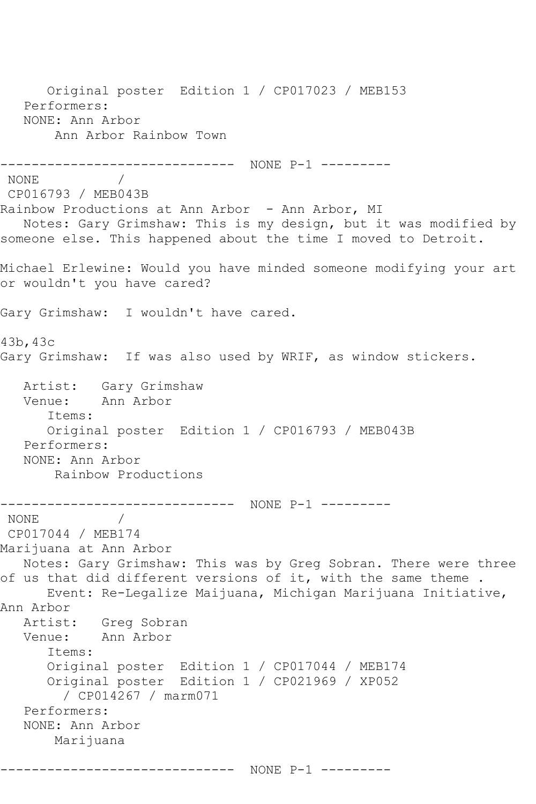Original poster Edition 1 / CP017023 / MEB153 Performers: NONE: Ann Arbor Ann Arbor Rainbow Town ------------------------------ NONE P-1 --------- NONE / CP016793 / MEB043B Rainbow Productions at Ann Arbor - Ann Arbor, MI Notes: Gary Grimshaw: This is my design, but it was modified by someone else. This happened about the time I moved to Detroit. Michael Erlewine: Would you have minded someone modifying your art or wouldn't you have cared? Gary Grimshaw: I wouldn't have cared. 43b,43c Gary Grimshaw: If was also used by WRIF, as window stickers. Artist: Gary Grimshaw Venue: Ann Arbor Items: Original poster Edition 1 / CP016793 / MEB043B Performers: NONE: Ann Arbor Rainbow Productions ------------------------------ NONE P-1 --------- NONE / CP017044 / MEB174 Marijuana at Ann Arbor Notes: Gary Grimshaw: This was by Greg Sobran. There were three of us that did different versions of it, with the same theme . Event: Re-Legalize Maijuana, Michigan Marijuana Initiative, Ann Arbor<br>Artist: Greg Sobran Venue: Ann Arbor Items: Original poster Edition 1 / CP017044 / MEB174 Original poster Edition 1 / CP021969 / XP052 / CP014267 / marm071 Performers: NONE: Ann Arbor Marijuana ------------------------------ NONE P-1 ---------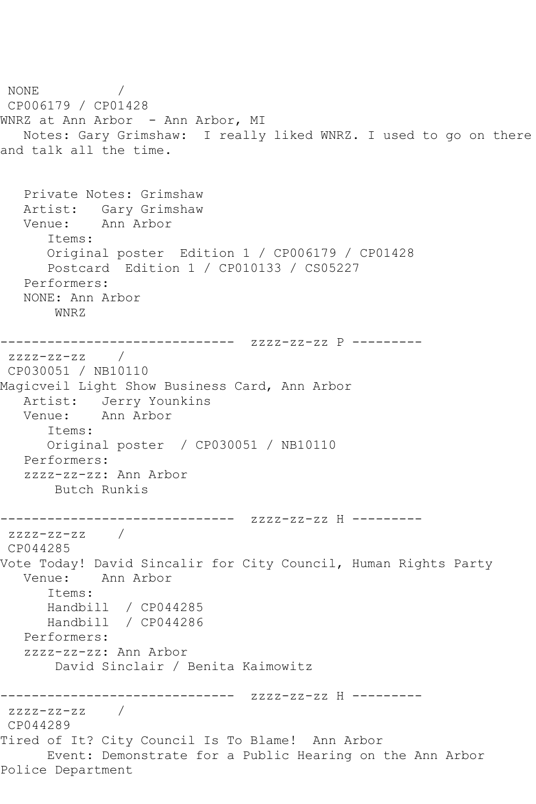NONE / CP006179 / CP01428 WNRZ at Ann Arbor - Ann Arbor, MI Notes: Gary Grimshaw: I really liked WNRZ. I used to go on there and talk all the time. Private Notes: Grimshaw Artist: Gary Grimshaw Venue: Ann Arbor Items: Original poster Edition 1 / CP006179 / CP01428 Postcard Edition 1 / CP010133 / CS05227 Performers: NONE: Ann Arbor WNRZ ------------------------------ zzzz-zz-zz P -------- zzzz-zz-zz / CP030051 / NB10110 Magicveil Light Show Business Card, Ann Arbor Artist: Jerry Younkins Venue: Ann Arbor Items: Original poster / CP030051 / NB10110 Performers: zzzz-zz-zz: Ann Arbor Butch Runkis ------------------------------ zzzz-zz-zz H -------- zzzz-zz-zz / CP044285 Vote Today! David Sincalir for City Council, Human Rights Party Venue: Ann Arbor Items: Handbill / CP044285 Handbill / CP044286 Performers: zzzz-zz-zz: Ann Arbor David Sinclair / Benita Kaimowitz ------------------------------ zzzz-zz-zz H -------- zzzz-zz-zz / CP044289 Tired of It? City Council Is To Blame! Ann Arbor Event: Demonstrate for a Public Hearing on the Ann Arbor Police Department